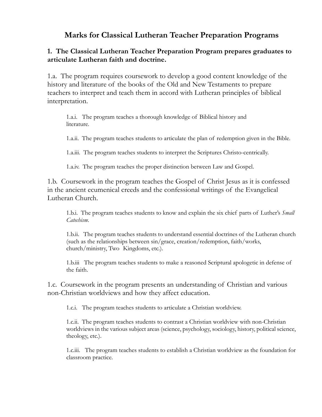## **Marks for Classical Lutheran Teacher Preparation Programs**

## **1. The Classical Lutheran Teacher Preparation Program prepares graduates to articulate Lutheran faith and doctrine.**

1.a. The program requires coursework to develop a good content knowledge of the history and literature of the books of the Old and New Testaments to prepare teachers to interpret and teach them in accord with Lutheran principles of biblical interpretation.

1.a.i. The program teaches a thorough knowledge of Biblical history and literature.

1.a.ii. The program teaches students to articulate the plan of redemption given in the Bible.

1.a.iii. The program teaches students to interpret the Scriptures Christo-centrically.

1.a.iv. The program teaches the proper distinction between Law and Gospel.

1.b. Coursework in the program teaches the Gospel of Christ Jesus as it is confessed in the ancient ecumenical creeds and the confessional writings of the Evangelical Lutheran Church.

1.b.i. The program teaches students to know and explain the six chief parts of Luther's *Small Catechism*.

1.b.ii. The program teaches students to understand essential doctrines of the Lutheran church (such as the relationships between sin/grace, creation/redemption, faith/works, church/ministry, Two Kingdoms, etc.).

1.b.iii The program teaches students to make a reasoned Scriptural apologetic in defense of the faith.

1.c. Coursework in the program presents an understanding of Christian and various non-Christian worldviews and how they affect education.

1.c.i. The program teaches students to articulate a Christian worldview.

1.c.ii. The program teaches students to contrast a Christian worldview with non-Christian worldviews in the various subject areas (science, psychology, sociology, history, political science, theology, etc.).

1.c.iii. The program teaches students to establish a Christian worldview as the foundation for classroom practice.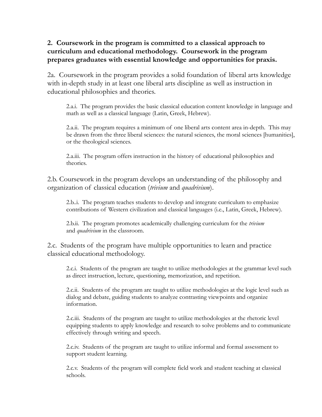## **2. Coursework in the program is committed to a classical approach to curriculum and educational methodology. Coursework in the program prepares graduates with essential knowledge and opportunities for praxis.**

2a. Coursework in the program provides a solid foundation of liberal arts knowledge with in-depth study in at least one liberal arts discipline as well as instruction in educational philosophies and theories.

2.a.i. The program provides the basic classical education content knowledge in language and math as well as a classical language (Latin, Greek, Hebrew).

2.a.ii. The program requires a minimum of one liberal arts content area in-depth. This may be drawn from the three liberal sciences: the natural sciences, the moral sciences [humanities], or the theological sciences.

2.a.iii. The program offers instruction in the history of educational philosophies and theories.

2.b. Coursework in the program develops an understanding of the philosophy and organization of classical education (*trivium* and *quadrivium*).

2.b..i. The program teaches students to develop and integrate curriculum to emphasize contributions of Western civilization and classical languages (i.e., Latin, Greek, Hebrew).

2.b.ii. The program promotes academically challenging curriculum for the *trivium* and *quadrivium* in the classroom.

2.c. Students of the program have multiple opportunities to learn and practice classical educational methodology.

2.c.i. Students of the program are taught to utilize methodologies at the grammar level such as direct instruction, lecture, questioning, memorization, and repetition.

2.c.ii. Students of the program are taught to utilize methodologies at the logic level such as dialog and debate, guiding students to analyze contrasting viewpoints and organize information.

2.c.iii. Students of the program are taught to utilize methodologies at the rhetoric level equipping students to apply knowledge and research to solve problems and to communicate effectively through writing and speech.

2.c.iv. Students of the program are taught to utilize informal and formal assessment to support student learning.

2.c.v. Students of the program will complete field work and student teaching at classical schools.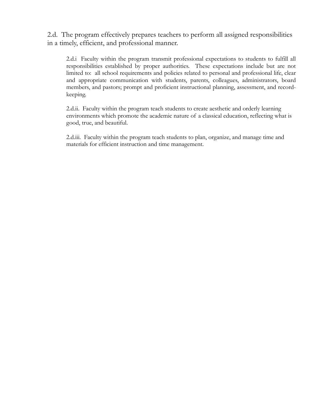2.d. The program effectively prepares teachers to perform all assigned responsibilities in a timely, efficient, and professional manner.

2.d.i Faculty within the program transmit professional expectations to students to fulfill all responsibilities established by proper authorities. These expectations include but are not limited to: all school requirements and policies related to personal and professional life, clear and appropriate communication with students, parents, colleagues, administrators, board members, and pastors; prompt and proficient instructional planning, assessment, and recordkeeping.

2.d.ii. Faculty within the program teach students to create aesthetic and orderly learning environments which promote the academic nature of a classical education, reflecting what is good, true, and beautiful.

2.d.iii. Faculty within the program teach students to plan, organize, and manage time and materials for efficient instruction and time management.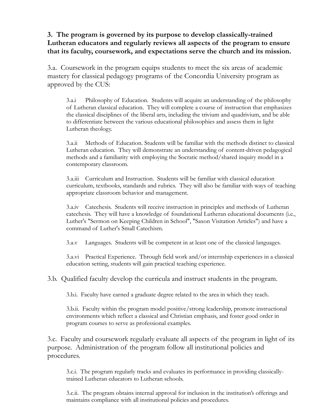## **3. The program is governed by its purpose to develop classically-trained Lutheran educators and regularly reviews all aspects of the program to ensure that its faculty, coursework, and expectations serve the church and its mission.**

3.a. Coursework in the program equips students to meet the six areas of academic mastery for classical pedagogy programs of the Concordia University program as approved by the CUS:

3.a.i Philosophy of Education. Students will acquire an understanding of the philosophy of Lutheran classical education. They will complete a course of instruction that emphasizes the classical disciplines of the liberal arts, including the trivium and quadrivium, and be able to differentiate between the various educational philosophies and assess them in light Lutheran theology.

3.a.ii Methods of Education. Students will be familiar with the methods distinct to classical Lutheran education. They will demonstrate an understanding of content-driven pedagogical methods and a familiarity with employing the Socratic method/shared inquiry model in a contemporary classroom.

3.a.iii Curriculum and Instruction. Students will be familiar with classical education curriculum, textbooks, standards and rubrics. They will also be familiar with ways of teaching appropriate classroom behavior and management.

3.a.iv Catechesis. Students will receive instruction in principles and methods of Lutheran catechesis. They will have a knowledge of foundational Lutheran educational documents (i.e., Luther's "Sermon on Keeping Children in School", "Saxon Visitation Articles") and have a command of Luther's Small Catechism.

3.a.v Languages. Students will be competent in at least one of the classical languages.

3.a.vi Practical Experience. Through field work and/or internship experiences in a classical education setting, students will gain practical teaching experience.

3.b. Qualified faculty develop the curricula and instruct students in the program.

3.b.i. Faculty have earned a graduate degree related to the area in which they teach.

3.b.ii. Faculty within the program model positive/strong leadership, promote instructional environments which reflect a classical and Christian emphasis, and foster good order in program courses to serve as professional examples.

3.c. Faculty and coursework regularly evaluate all aspects of the program in light of its purpose. Administration of the program follow all institutional policies and procedures.

3.c.i. The program regularly tracks and evaluates its performance in providing classicallytrained Lutheran educators to Lutheran schools.

3.c.ii. The program obtains internal approval for inclusion in the institution's offerings and maintains compliance with all institutional policies and procedures.